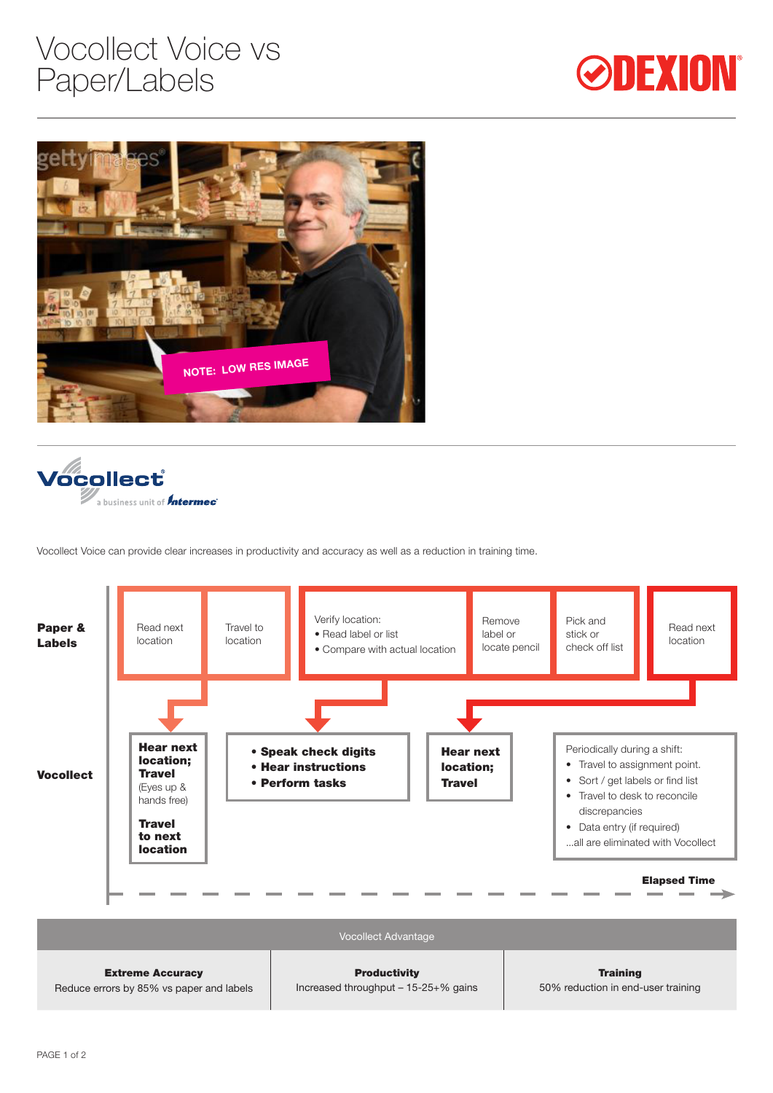## Vocollect Voice vs Paper/Labels







Vocollect Voice can provide clear increases in productivity and accuracy as well as a reduction in training time.